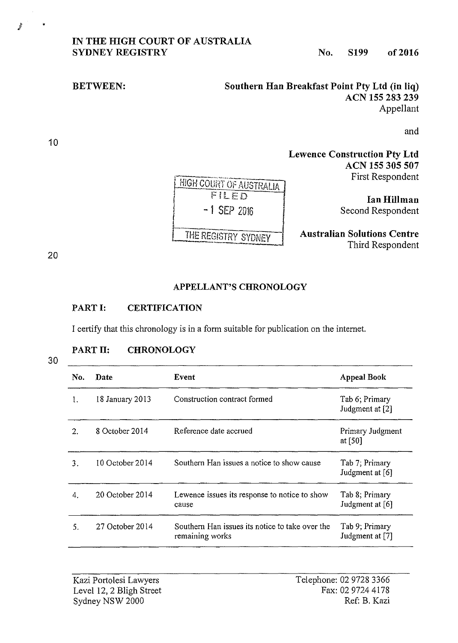## **IN THE HIGH COURT OF AUSTRALIA SYDNEY REGISTRY** No. S199 of 2016

**I**

**BETWEEN:** Southern Han Breakfast Point Pty Ltd (in liq) **ACN 155 283 239**  Appellant

and

**Lewence Construction Pty Ltd ACN 155 305 507**  First Respondent

> **IanHillman**  Second Respondent

**Australian Solutions Centre**  Third Respondent

10

## **APPELLANT'S CHRONOLOGY**

## **PART I: CERTIFICATION**

I certify that this chronology is in a form suitable for publication on the internet.

## **PART 11: CHRONOLOGY**

30

| No. | <b>Date</b>         | Event                                                              | <b>Appeal Book</b>                |
|-----|---------------------|--------------------------------------------------------------------|-----------------------------------|
|     | 18 January 2013     | Construction contract formed                                       | Tab 6; Primary<br>Judgment at [2] |
| 2.  | 8 October 2014      | Reference date accrued                                             | Primary Judgment<br>at [50]       |
| 3.  | 10 October 2014     | Southern Han issues a notice to show cause                         | Tab 7; Primary<br>Judgment at [6] |
| 4.  | $20$ October $2014$ | Lewence issues its response to notice to show<br>cause             | Tab 8; Primary<br>Judgment at [6] |
| 5.  | 27 October 2014     | Southern Han issues its notice to take over the<br>remaining works | Tab 9, Primary<br>Judgment at [7] |

Telephone: 02 9728 3366 Fax: 0297244178 Ref: B. Kazi

|<br>|<br>| HIGH COURT OF AUSTRALIA FILED<br>-1 SEP 2016 **L** -f

I HE REGISTRY SYDNEY

J '